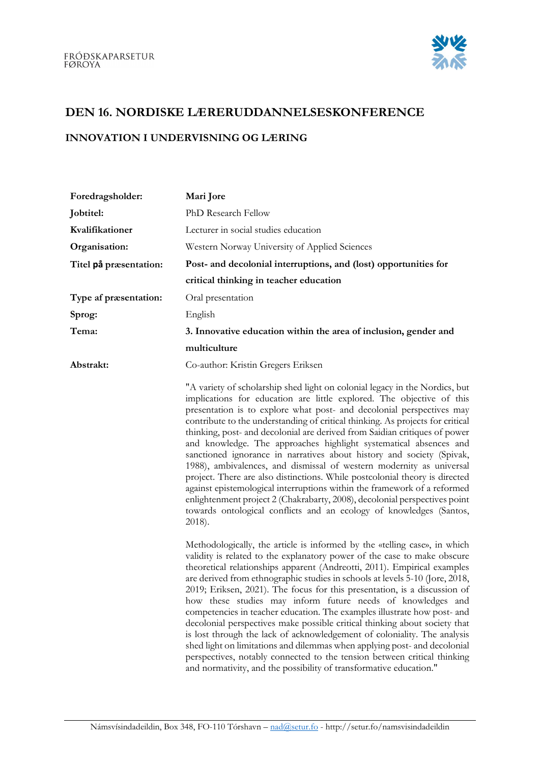

## DEN 16. NORDISKE LÆRERUDDANNELSESKONFERENCE

## INNOVATION I UNDERVISNING OG LÆRING

| Foredragsholder:       | Mari Jore                                                                                                                                                                                                                                                                                                                                                                                                                                                                                                                                                                                                                                                                                                                                                                                                                                                                                                                                        |
|------------------------|--------------------------------------------------------------------------------------------------------------------------------------------------------------------------------------------------------------------------------------------------------------------------------------------------------------------------------------------------------------------------------------------------------------------------------------------------------------------------------------------------------------------------------------------------------------------------------------------------------------------------------------------------------------------------------------------------------------------------------------------------------------------------------------------------------------------------------------------------------------------------------------------------------------------------------------------------|
| Jobtitel:              | PhD Research Fellow                                                                                                                                                                                                                                                                                                                                                                                                                                                                                                                                                                                                                                                                                                                                                                                                                                                                                                                              |
| Kvalifikationer        | Lecturer in social studies education                                                                                                                                                                                                                                                                                                                                                                                                                                                                                                                                                                                                                                                                                                                                                                                                                                                                                                             |
| Organisation:          | Western Norway University of Applied Sciences                                                                                                                                                                                                                                                                                                                                                                                                                                                                                                                                                                                                                                                                                                                                                                                                                                                                                                    |
| Titel på præsentation: | Post- and decolonial interruptions, and (lost) opportunities for                                                                                                                                                                                                                                                                                                                                                                                                                                                                                                                                                                                                                                                                                                                                                                                                                                                                                 |
|                        | critical thinking in teacher education                                                                                                                                                                                                                                                                                                                                                                                                                                                                                                                                                                                                                                                                                                                                                                                                                                                                                                           |
| Type af præsentation:  | Oral presentation                                                                                                                                                                                                                                                                                                                                                                                                                                                                                                                                                                                                                                                                                                                                                                                                                                                                                                                                |
| Sprog:                 | English                                                                                                                                                                                                                                                                                                                                                                                                                                                                                                                                                                                                                                                                                                                                                                                                                                                                                                                                          |
| Tema:                  | 3. Innovative education within the area of inclusion, gender and                                                                                                                                                                                                                                                                                                                                                                                                                                                                                                                                                                                                                                                                                                                                                                                                                                                                                 |
|                        | multiculture                                                                                                                                                                                                                                                                                                                                                                                                                                                                                                                                                                                                                                                                                                                                                                                                                                                                                                                                     |
| Abstrakt:              | Co-author: Kristin Gregers Eriksen                                                                                                                                                                                                                                                                                                                                                                                                                                                                                                                                                                                                                                                                                                                                                                                                                                                                                                               |
|                        | "A variety of scholarship shed light on colonial legacy in the Nordics, but<br>implications for education are little explored. The objective of this<br>presentation is to explore what post- and decolonial perspectives may<br>contribute to the understanding of critical thinking. As projects for critical<br>thinking, post- and decolonial are derived from Saidian critiques of power<br>and knowledge. The approaches highlight systematical absences and<br>sanctioned ignorance in narratives about history and society (Spivak,<br>1988), ambivalences, and dismissal of western modernity as universal<br>project. There are also distinctions. While postcolonial theory is directed<br>against epistemological interruptions within the framework of a reformed<br>enlightenment project 2 (Chakrabarty, 2008), decolonial perspectives point<br>towards ontological conflicts and an ecology of knowledges (Santos,<br>$2018$ ). |
|                        | Methodologically, the article is informed by the «telling case», in which<br>validity is related to the explanatory power of the case to make obscure<br>theoretical relationships apparent (Andreotti, 2011). Empirical examples<br>are derived from ethnographic studies in schools at levels 5-10 (Jore, 2018,<br>2019; Eriksen, 2021). The focus for this presentation, is a discussion of<br>how these studies may inform future needs of knowledges and<br>competencies in teacher education. The examples illustrate how post- and<br>decolonial perspectives make possible critical thinking about society that<br>is lost through the lack of acknowledgement of coloniality. The analysis<br>shed light on limitations and dilemmas when applying post- and decolonial<br>perspectives, notably connected to the tension between critical thinking<br>and normativity, and the possibility of transformative education."               |